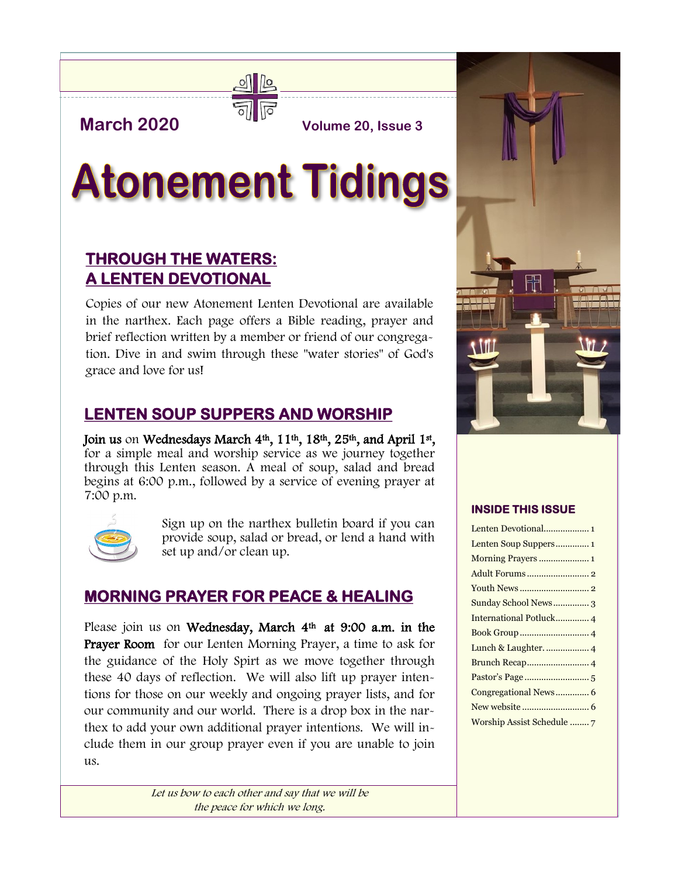# **March 2020 Volume 20, Issue 3**



# **Atonement Tidings**

# **THROUGH THE WATERS: A LENTEN DEVOTIONAL**

Copies of our new Atonement Lenten Devotional are available in the narthex. Each page offers a Bible reading, prayer and brief reflection written by a member or friend of our congregation. Dive in and swim through these "water stories" of God's grace and love for us!

# **LENTEN SOUP SUPPERS AND WORSHIP**

Join us on Wednesdays March 4<sup>th</sup>, 11<sup>th</sup>, 18<sup>th</sup>, 25<sup>th</sup>, and April 1<sup>st</sup>, for a simple meal and worship service as we journey together through this Lenten season. A meal of soup, salad and bread begins at 6:00 p.m., followed by a service of evening prayer at 7:00 p.m.



Sign up on the narthex bulletin board if you can provide soup, salad or bread, or lend a hand with set up and/or clean up.

## **MORNING PRAYER FOR PEACE & HEALING**

Please join us on Wednesday, March 4<sup>th</sup> at 9:00 a.m. in the Prayer Room for our Lenten Morning Prayer, a time to ask for the guidance of the Holy Spirt as we move together through these 40 days of reflection. We will also lift up prayer intentions for those on our weekly and ongoing prayer lists, and for our community and our world. There is a drop box in the narthex to add your own additional prayer intentions. We will include them in our group prayer even if you are unable to join  $11S.$ 

> Let us bow to each other and say that we will be the peace for which we long.



#### **INSIDE THIS ISSUE**

| Sunday School News3   |
|-----------------------|
|                       |
|                       |
|                       |
|                       |
|                       |
| Congregational News 6 |
|                       |
|                       |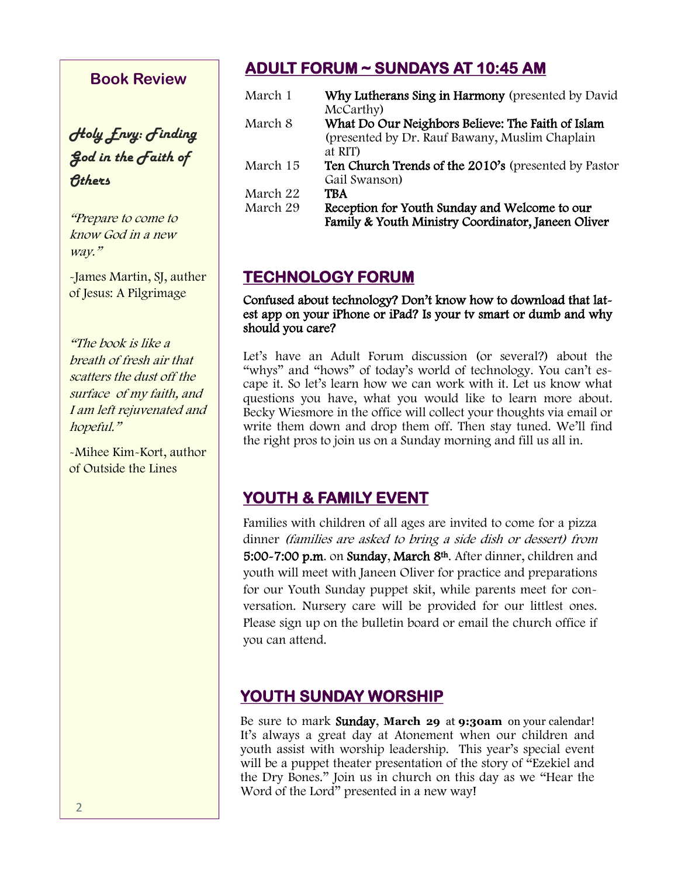#### **Book Review**

*Holy Envy: Finding God in the Faith of Others*

"Prepare to come to know God in a new way."

-James Martin, SJ, auther of Jesus: A Pilgrimage

"The book is like a breath of fresh air that scatters the dust off the surface of my faith, and I am left rejuvenated and hopeful."

-Mihee Kim-Kort, author of Outside the Lines

# **ADULT FORUM ~ SUNDAYS AT 10:45 AM**

| March 1  | Why Lutherans Sing in Harmony (presented by David    |
|----------|------------------------------------------------------|
|          | McCarthy)                                            |
| March 8  | What Do Our Neighbors Believe: The Faith of Islam    |
|          | (presented by Dr. Rauf Bawany, Muslim Chaplain       |
|          | at RIT)                                              |
| March 15 | Ten Church Trends of the 2010's (presented by Pastor |
|          | Gail Swanson)                                        |
| March 22 | TBA                                                  |
| March 29 | Reception for Youth Sunday and Welcome to our        |
|          | Family & Youth Ministry Coordinator, Janeen Oliver   |

# **TECHNOLOGY FORUM**

#### Confused about technology? Don't know how to download that latest app on your iPhone or iPad? Is your tv smart or dumb and why should you care?

Let's have an Adult Forum discussion (or several?) about the "whys" and "hows" of today's world of technology. You can't escape it. So let's learn how we can work with it. Let us know what questions you have, what you would like to learn more about. Becky Wiesmore in the office will collect your thoughts via email or write them down and drop them off. Then stay tuned. We'll find the right pros to join us on a Sunday morning and fill us all in.

# **YOUTH & FAMILY EVENT**

Families with children of all ages are invited to come for a pizza dinner (families are asked to bring a side dish or dessert) from 5:00~7:00 p.m. on Sunday, March 8<sup>th</sup>. After dinner, children and youth will meet with Janeen Oliver for practice and preparations for our Youth Sunday puppet skit, while parents meet for conversation. Nursery care will be provided for our littlest ones. Please sign up on the bulletin board or email the church office if you can attend.

## **YOUTH SUNDAY WORSHIP**

Be sure to mark Sunday, **March 29** at **9:30am** on your calendar! It's always a great day at Atonement when our children and youth assist with worship leadership. This year's special event will be a puppet theater presentation of the story of "Ezekiel and the Dry Bones." Join us in church on this day as we "Hear the Word of the Lord" presented in a new way!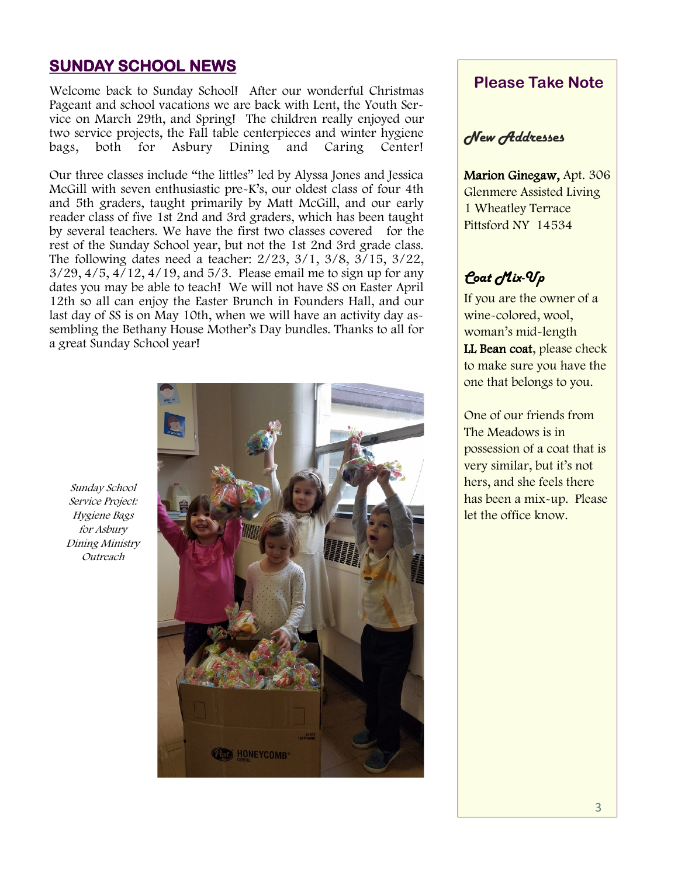#### **SUNDAY SCHOOL NEWS**

Welcome back to Sunday School! After our wonderful Christmas Pageant and school vacations we are back with Lent, the Youth Service on March 29th, and Spring! The children really enjoyed our two service projects, the Fall table centerpieces and winter hygiene<br>bags, both for Asbury Dining and Caring Center! bags, both for Asbury Dining and Caring Center!

Our three classes include "the littles" led by Alyssa Jones and Jessica McGill with seven enthusiastic pre-K's, our oldest class of four 4th and 5th graders, taught primarily by Matt McGill, and our early reader class of five 1st 2nd and 3rd graders, which has been taught by several teachers. We have the first two classes covered for the rest of the Sunday School year, but not the 1st 2nd 3rd grade class. The following dates need a teacher: 2/23, 3/1, 3/8, 3/15, 3/22, 3/29, 4/5, 4/12, 4/19, and 5/3. Please email me to sign up for any dates you may be able to teach! We will not have SS on Easter April 12th so all can enjoy the Easter Brunch in Founders Hall, and our last day of SS is on May 10th, when we will have an activity day assembling the Bethany House Mother's Day bundles. Thanks to all for a great Sunday School year!

Sunday School Service Project: Hygiene Bags for Asbury Dining Ministry Outreach



#### **Please Take Note**

#### *New Addresses*

Marion Ginegaw, Apt. 306 Glenmere Assisted Living 1 Wheatley Terrace Pittsford NY 14534

# *Coat Mix-Up*

If you are the owner of a wine-colored, wool, woman's mid-length LL Bean coat, please check to make sure you have the one that belongs to you.

One of our friends from The Meadows is in possession of a coat that is very similar, but it's not hers, and she feels there has been a mix-up. Please let the office know.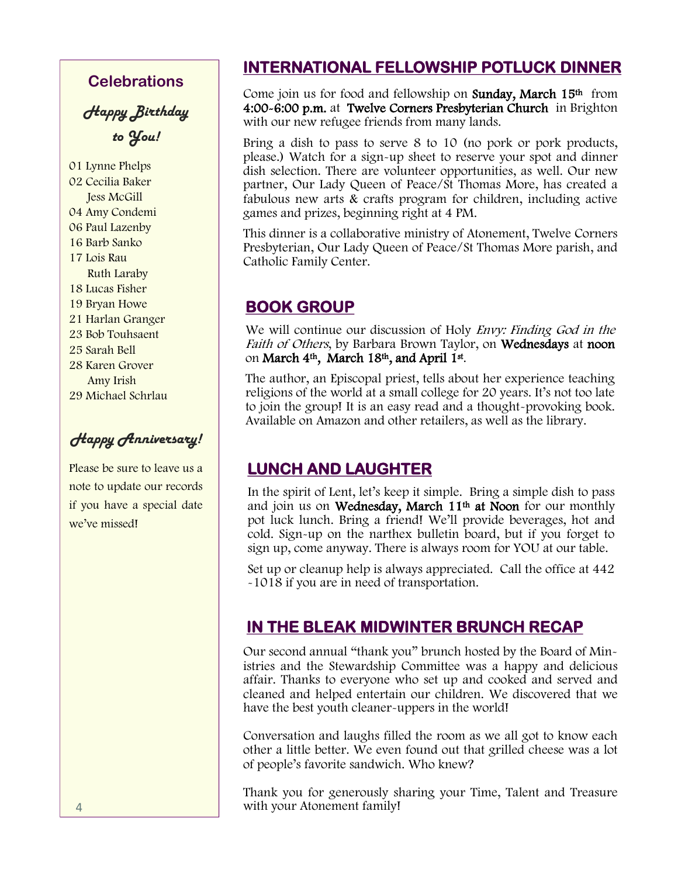#### **Celebrations**

*Happy Birthday to You!*

01 Lynne Phelps 02 Cecilia Baker Jess McGill 04 Amy Condemi 06 Paul Lazenby 16 Barb Sanko 17 Lois Rau Ruth Laraby 18 Lucas Fisher 19 Bryan Howe 21 Harlan Granger 23 Bob Touhsaent 25 Sarah Bell 28 Karen Grover Amy Irish 29 Michael Schrlau

*Happy Anniversary!*

Please be sure to leave us a note to update our records if you have a special date we've missed!

## **INTERNATIONAL FELLOWSHIP POTLUCK DINNER**

Come join us for food and fellowship on **Sunday, March 15th** from 4:00-6:00 p.m. at Twelve Corners Presbyterian Church in Brighton with our new refugee friends from many lands.

Bring a dish to pass to serve 8 to 10 (no pork or pork products, please.) Watch for a sign-up sheet to reserve your spot and dinner dish selection. There are volunteer opportunities, as well. Our new partner, Our Lady Queen of Peace/St Thomas More, has created a fabulous new arts & crafts program for children, including active games and prizes, beginning right at 4 PM.

This dinner is a collaborative ministry of Atonement, Twelve Corners Presbyterian, Our Lady Queen of Peace/St Thomas More parish, and Catholic Family Center.

## **BOOK GROUP**

We will continue our discussion of Holy *Envy: Finding God in the* Faith of Others, by Barbara Brown Taylor, on Wednesdays at noon on **March 4<sup>th</sup>, March 18<sup>th</sup>, and April 1st**.

The author, an Episcopal priest, tells about her experience teaching religions of the world at a small college for 20 years. It's not too late to join the group! It is an easy read and a thought-provoking book. Available on Amazon and other retailers, as well as the library.

## **LUNCH AND LAUGHTER**

In the spirit of Lent, let's keep it simple. Bring a simple dish to pass and join us on Wednesday, March 11<sup>th</sup> at Noon for our monthly pot luck lunch. Bring a friend! We'll provide beverages, hot and cold. Sign-up on the narthex bulletin board, but if you forget to sign up, come anyway. There is always room for YOU at our table.

Set up or cleanup help is always appreciated. Call the office at 442 -1018 if you are in need of transportation.

# **IN THE BLEAK MIDWINTER BRUNCH RECAP**

Our second annual "thank you" brunch hosted by the Board of Ministries and the Stewardship Committee was a happy and delicious affair. Thanks to everyone who set up and cooked and served and cleaned and helped entertain our children. We discovered that we have the best youth cleaner-uppers in the world!

Conversation and laughs filled the room as we all got to know each other a little better. We even found out that grilled cheese was a lot of people's favorite sandwich. Who knew?

Thank you for generously sharing your Time, Talent and Treasure with your Atonement family!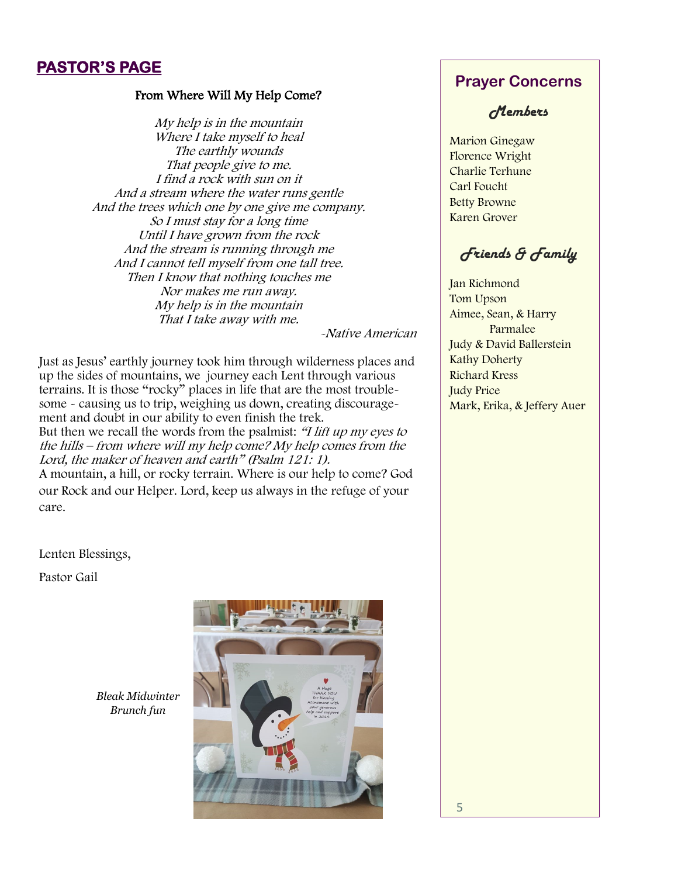## **PASTOR'S PAGE**

#### From Where Will My Help Come?

My help is in the mountain Where I take myself to heal The earthly wounds That people give to me. I find a rock with sun on it And a stream where the water runs gentle And the trees which one by one give me company. So I must stay for a long time Until I have grown from the rock And the stream is running through me And I cannot tell myself from one tall tree. Then I know that nothing touches me Nor makes me run away. My help is in the mountain That I take away with me.

-Native American

Just as Jesus' earthly journey took him through wilderness places and up the sides of mountains, we journey each Lent through various terrains. It is those "rocky" places in life that are the most troublesome - causing us to trip, weighing us down, creating discouragement and doubt in our ability to even finish the trek. But then we recall the words from the psalmist: "I lift up my eyes to the hills – from where will my help come? My help comes from the Lord, the maker of heaven and earth" (Psalm 121: 1).

A mountain, a hill, or rocky terrain. Where is our help to come? God our Rock and our Helper. Lord, keep us always in the refuge of your care.

Lenten Blessings,

Pastor Gail



*Bleak Midwinter Brunch fun*

#### **Prayer Concerns**

#### *Members*

Marion Ginegaw Florence Wright Charlie Terhune Carl Foucht Betty Browne Karen Grover

## *Friends & Family*

Jan Richmond Tom Upson Aimee, Sean, & Harry Parmalee Judy & David Ballerstein Kathy Doherty Richard Kress Judy Price Mark, Erika, & Jeffery Auer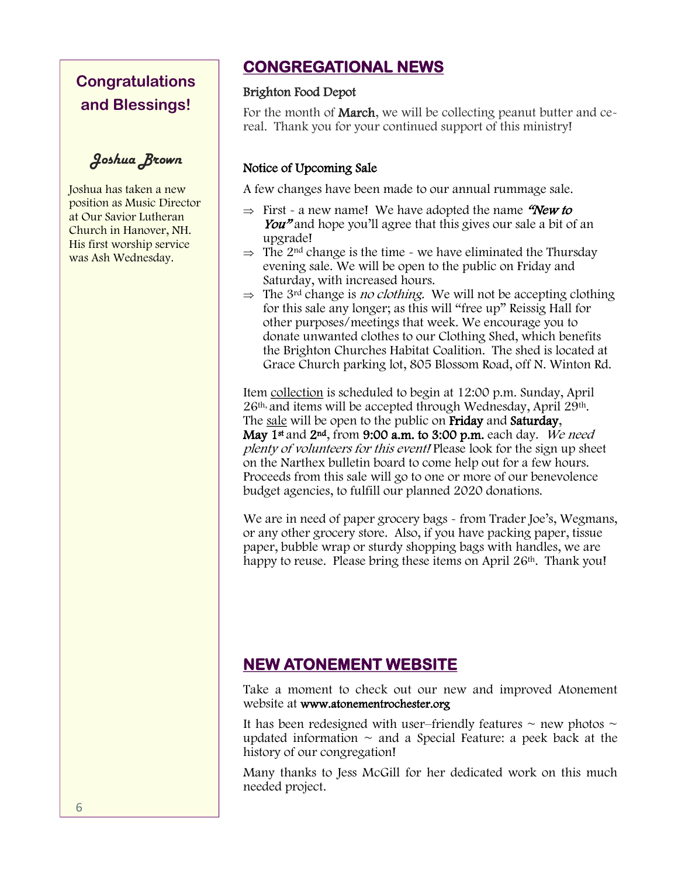# **Congratulations and Blessings!**

*Joshua Brown*

Joshua has taken a new position as Music Director at Our Savior Lutheran Church in Hanover, NH. His first worship service was Ash Wednesday.

# **CONGREGATIONAL NEWS**

#### Brighton Food Depot

For the month of **March**, we will be collecting peanut butter and cereal. Thank you for your continued support of this ministry!

#### Notice of Upcoming Sale

A few changes have been made to our annual rummage sale.

- $\Rightarrow$  First a new name! We have adopted the name "New to You<sup>n</sup> and hope you'll agree that this gives our sale a bit of an upgrade!
- $\Rightarrow$  The 2<sup>nd</sup> change is the time we have eliminated the Thursday evening sale. We will be open to the public on Friday and Saturday, with increased hours.
- $\Rightarrow$  The 3<sup>rd</sup> change is *no clothing*. We will not be accepting clothing for this sale any longer; as this will "free up" Reissig Hall for other purposes/meetings that week. We encourage you to donate unwanted clothes to our Clothing Shed, which benefits the Brighton Churches Habitat Coalition. The shed is located at Grace Church parking lot, 805 Blossom Road, off N. Winton Rd.

Item collection is scheduled to begin at 12:00 p.m. Sunday, April 26th, and items will be accepted through Wednesday, April 29th. The sale will be open to the public on Friday and Saturday, May 1<sup>st</sup> and 2<sup>nd</sup>, from 9:00 a.m. to 3:00 p.m. each day. We need plenty of volunteers for this event! Please look for the sign up sheet on the Narthex bulletin board to come help out for a few hours. Proceeds from this sale will go to one or more of our benevolence budget agencies, to fulfill our planned 2020 donations.

We are in need of paper grocery bags - from Trader Joe's, Wegmans, or any other grocery store. Also, if you have packing paper, tissue paper, bubble wrap or sturdy shopping bags with handles, we are happy to reuse. Please bring these items on April 26<sup>th</sup>. Thank you!

# **NEW ATONEMENT WEBSITE**

Take a moment to check out our new and improved Atonement website at www.atonementrochester.org

It has been redesigned with user–friendly features  $\sim$  new photos  $\sim$ updated information  $\sim$  and a Special Feature: a peek back at the history of our congregation!

Many thanks to Jess McGill for her dedicated work on this much needed project.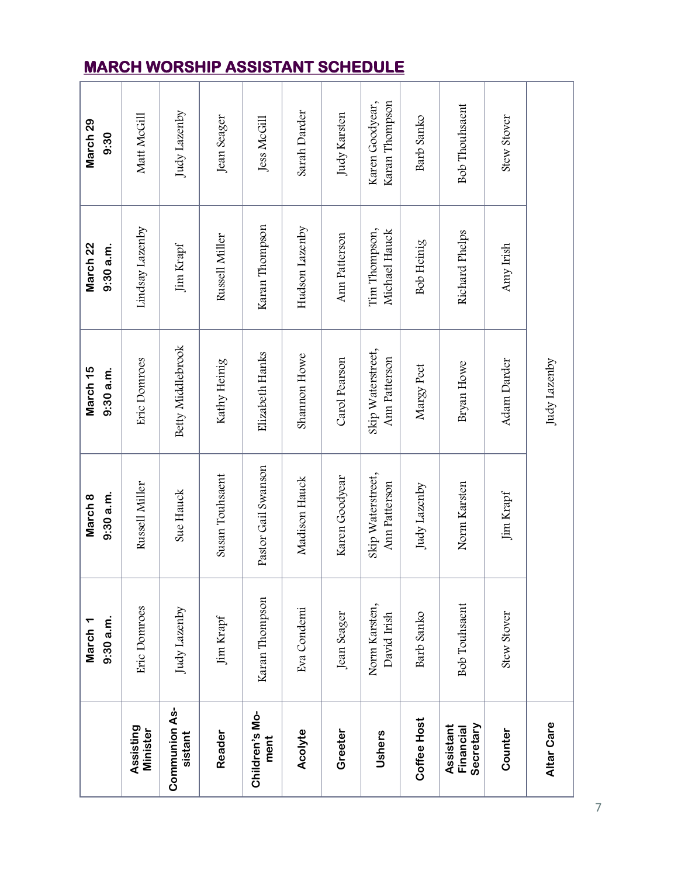|                                     | $9:30$ a.m.<br>March <sub>1</sub> | $9:30$ a.m.<br>March 8             | March <sub>15</sub><br>$9:30$ a.m. | March 22<br>$9:30$ a.m.        | March 29<br>9:30                  |
|-------------------------------------|-----------------------------------|------------------------------------|------------------------------------|--------------------------------|-----------------------------------|
| Assisting<br><b>Minister</b>        | Eric Domroes                      | Russell Miller                     | Eric Domroes                       | Lindsay Lazenby                | Matt McGill                       |
| <b>Communion As-</b><br>sistant     | Judy Lazenby                      | Sue Hauck                          | Betty Middlebrook                  | Jim Krapf                      | Judy Lazenby                      |
| Reader                              | Jim Krapf                         | Susan Touhsaent                    | Kathy Heinig                       | Russell Miller                 | Jean Seager                       |
| Children's Mo-<br>ment              | Karan Thompson                    | Pastor Gail Swanson                | Elizabeth Hanks                    | Karan Thompson                 | Jess McGill                       |
| Acolyte                             | Eva Condemi                       | Madison Hauck                      | Shannon Howe                       | Hudson Lazenby                 | Sarah Darder                      |
| Greeter                             | Jean Seager                       | Karen Goodyear                     | Carol Pearson                      | Ann Patterson                  | Judy Karsten                      |
| Ushers                              | Norm Karsten,<br>David Irish      | Skip Waterstreet,<br>Ann Patterson | Skip Waterstreet,<br>Ann Patterson | Tim Thompson,<br>Michael Hauck | Karan Thompson<br>Karen Goodyear, |
| Coffee Host                         | Barb Sanko                        | Judy Lazenby                       | Margy Peet                         | Bob Heinig                     | Barb Sanko                        |
| Assistant<br>Secretary<br>Financial | <b>Bob Touhsaent</b>              | Norm Karsten                       | Bryan Howe                         | Richard Phelps                 | <b>Bob Thouhsaent</b>             |
| Counter                             | <b>Stew Stover</b>                | Jim Krapf                          | Adam Darder                        | Amy Irish                      | <b>Stew Stover</b>                |
| Altar Care                          |                                   |                                    | Judy Lazenby                       |                                |                                   |

# **MARCH WORSHIP ASSISTANT SCHEDULE**